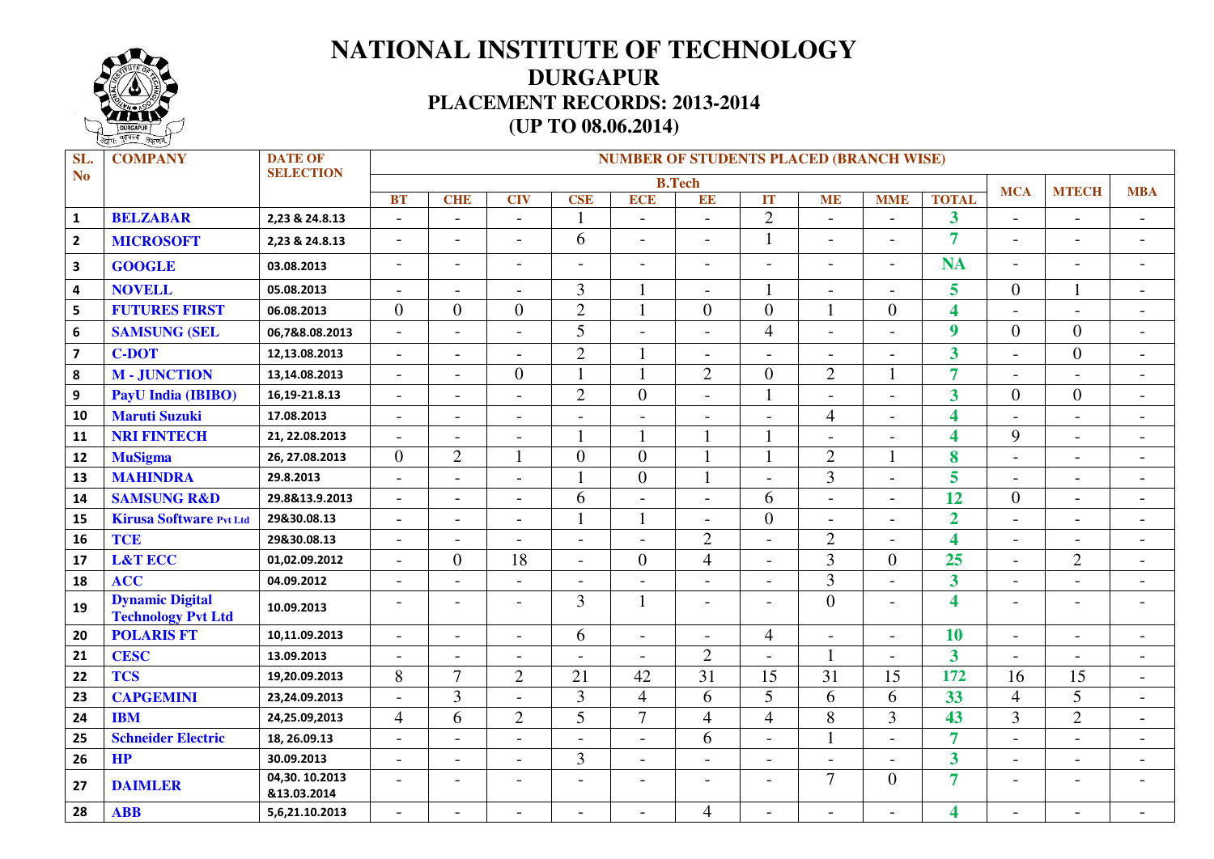

## **NATIONAL INSTITUTE OF TECHNOLOGY DURGAPUR PLACEMENT RECORDS: 2013-2014 (UP TO 08.06.2014)**

| SL.                     | <b>COMPANY</b>                                      | <b>DATE OF</b>               | <b>NUMBER OF STUDENTS PLACED (BRANCH WISE)</b> |                          |                          |                          |                          |                          |                          |                          |                          |                         |                          |                              |                          |
|-------------------------|-----------------------------------------------------|------------------------------|------------------------------------------------|--------------------------|--------------------------|--------------------------|--------------------------|--------------------------|--------------------------|--------------------------|--------------------------|-------------------------|--------------------------|------------------------------|--------------------------|
| <b>No</b>               |                                                     | <b>SELECTION</b>             | <b>B.Tech</b>                                  |                          |                          |                          |                          |                          |                          |                          |                          |                         | <b>MCA</b>               | <b>MTECH</b>                 | <b>MBA</b>               |
|                         |                                                     |                              | <b>BT</b>                                      | <b>CHE</b>               | <b>CIV</b>               | <b>CSE</b>               | <b>ECE</b>               | EE                       | IT                       | <b>ME</b>                | <b>MME</b>               | <b>TOTAL</b>            |                          |                              |                          |
| $\mathbf 1$             | <b>BELZABAR</b>                                     | 2,23 & 24.8.13               | $\overline{\phantom{a}}$                       | $\sim$                   | $\sim$                   | $\mathbf{1}$             |                          | $\sim$                   | $\overline{2}$           | $\overline{a}$           |                          | $\overline{\mathbf{3}}$ | $\overline{\phantom{a}}$ | $\overline{\phantom{0}}$     | $\blacksquare$           |
| $\overline{2}$          | <b>MICROSOFT</b>                                    | 2,23 & 24.8.13               | $\overline{\phantom{a}}$                       | $\blacksquare$           | $\overline{\phantom{a}}$ | 6                        | $\overline{a}$           | $\overline{\phantom{0}}$ | $\mathbf{1}$             | $\blacksquare$           |                          | $\overline{7}$          | $\overline{\phantom{a}}$ | $\overline{\phantom{a}}$     |                          |
| $\overline{\mathbf{3}}$ | <b>GOOGLE</b>                                       | 03.08.2013                   | $\overline{\phantom{a}}$                       | $\blacksquare$           | $\overline{\phantom{a}}$ |                          | $\overline{a}$           | $\overline{a}$           | $\overline{a}$           | $\overline{\phantom{a}}$ | $\overline{\phantom{0}}$ | <b>NA</b>               | $\overline{a}$           | $\blacksquare$               |                          |
| $\overline{\mathbf{4}}$ | <b>NOVELL</b>                                       | 05.08.2013                   | $\blacksquare$                                 | $\sim$                   | $\overline{\phantom{0}}$ | $\overline{3}$           |                          | $\overline{a}$           | $\mathbf{1}$             |                          |                          | 5                       | $\overline{0}$           | $\mathbf{1}$                 |                          |
| 5                       | <b>FUTURES FIRST</b>                                | 06.08.2013                   | $\overline{0}$                                 | $\overline{0}$           | $\overline{0}$           | $\overline{2}$           |                          | $\overline{0}$           | $\overline{0}$           | $\mathbf{1}$             | $\overline{0}$           | $\overline{\mathbf{4}}$ | $\overline{a}$           | $\blacksquare$               | $\blacksquare$           |
| $\boldsymbol{6}$        | <b>SAMSUNG (SEL</b>                                 | 06,7&8.08.2013               | $\overline{\phantom{a}}$                       | $\sim$                   | $\overline{a}$           | $\overline{5}$           |                          |                          | $\overline{4}$           |                          |                          | $\overline{9}$          | $\overline{0}$           | $\boldsymbol{0}$             | $\overline{a}$           |
|                         | <b>C-DOT</b>                                        | 12,13.08.2013                | $\overline{\phantom{a}}$                       | $\overline{\phantom{a}}$ | $\blacksquare$           | $\overline{2}$           |                          | $\overline{a}$           | $\overline{a}$           | $\blacksquare$           |                          | $\overline{\mathbf{3}}$ | $\overline{\phantom{a}}$ | $\boldsymbol{0}$             | $\blacksquare$           |
| 8                       | <b>M-JUNCTION</b>                                   | 13,14.08.2013                | $\overline{\phantom{a}}$                       | $\overline{a}$           | $\overline{0}$           |                          |                          | $\overline{2}$           | $\Omega$                 | $\overline{2}$           |                          | $\overline{7}$          |                          | $\overline{a}$               | $\overline{a}$           |
| $\boldsymbol{9}$        | PayU India (IBIBO)                                  | 16,19-21.8.13                | $\overline{\phantom{a}}$                       | $\overline{\phantom{a}}$ | $\overline{\phantom{a}}$ | $\overline{2}$           | $\Omega$                 |                          |                          |                          | $\overline{\phantom{a}}$ | $\overline{\mathbf{3}}$ | $\overline{0}$           | $\boldsymbol{0}$             | $\blacksquare$           |
| 10                      | <b>Maruti Suzuki</b>                                | 17.08.2013                   | $\overline{a}$                                 | $\sim$                   | $\overline{\phantom{a}}$ |                          |                          |                          |                          | $\overline{4}$           | $\overline{a}$           | $\overline{\mathbf{4}}$ |                          | $\qquad \qquad -$            | $\overline{\phantom{a}}$ |
| 11                      | <b>NRI FINTECH</b>                                  | 21, 22.08.2013               | $\blacksquare$                                 | $\blacksquare$           | $\blacksquare$           |                          |                          |                          |                          | $\overline{a}$           |                          | $\overline{\mathbf{4}}$ | 9                        | $\blacksquare$               | $\overline{\phantom{a}}$ |
| 12                      | <b>MuSigma</b>                                      | 26, 27.08.2013               | $\boldsymbol{0}$                               | $\overline{2}$           | $\mathbf{1}$             | $\overline{0}$           | $\overline{0}$           |                          |                          | $\overline{2}$           |                          | 8                       |                          | $\overline{a}$               |                          |
| 13                      | <b>MAHINDRA</b>                                     | 29.8.2013                    | $\blacksquare$                                 | $\overline{\phantom{a}}$ | $\overline{\phantom{a}}$ |                          | $\theta$                 |                          | $\overline{a}$           | $\overline{3}$           | $\overline{\phantom{a}}$ | 5                       | $\overline{\phantom{a}}$ | $\overline{\phantom{a}}$     | $\overline{\phantom{a}}$ |
| 14                      | <b>SAMSUNG R&amp;D</b>                              | 29.8&13.9.2013               | $\overline{\phantom{a}}$                       | $\overline{\phantom{a}}$ | $\overline{\phantom{a}}$ | 6                        |                          | $\overline{a}$           | 6                        |                          | $\overline{a}$           | 12                      | $\overline{0}$           | $\overline{a}$               | $\overline{\phantom{a}}$ |
| 15                      | <b>Kirusa Software Pvt Ltd</b>                      | 29&30.08.13                  | $\blacksquare$                                 | $\sim$                   | $\blacksquare$           |                          |                          | $\overline{a}$           | $\overline{0}$           | $\blacksquare$           | $\overline{a}$           | $\overline{2}$          | $\overline{a}$           | $\overline{\phantom{a}}$     | $\overline{\phantom{a}}$ |
| 16                      | <b>TCE</b>                                          | 29&30.08.13                  | $\overline{\phantom{a}}$                       | $\overline{\phantom{a}}$ |                          | $\overline{\phantom{a}}$ |                          | $\overline{2}$           |                          | $\overline{2}$           |                          | $\overline{\mathbf{4}}$ | $\overline{\phantom{a}}$ | $\blacksquare$               | $\overline{\phantom{a}}$ |
| 17                      | <b>L&amp;T ECC</b>                                  | 01,02.09.2012                | $\overline{\phantom{a}}$                       | $\boldsymbol{0}$         | 18                       | $\overline{\phantom{a}}$ | $\overline{0}$           | $\overline{4}$           | $\overline{a}$           | $\overline{3}$           | $\mathbf{0}$             | 25                      | $\overline{\phantom{a}}$ | $\overline{2}$               | $\overline{\phantom{a}}$ |
| 18                      | <b>ACC</b>                                          | 04.09.2012                   | $\overline{\phantom{a}}$                       | $\blacksquare$           | $\blacksquare$           | $\blacksquare$           | $\overline{a}$           | $\overline{a}$           | $\overline{a}$           | $\overline{3}$           | $\overline{\phantom{a}}$ | $\overline{\mathbf{3}}$ | $\overline{a}$           | $\overline{\phantom{a}}$     | $\overline{\phantom{a}}$ |
| 19                      | <b>Dynamic Digital</b><br><b>Technology Pvt Ltd</b> | 10.09.2013                   | $\overline{\phantom{a}}$                       | $\overline{a}$           | $\blacksquare$           | $\overline{3}$           | $\mathbf{1}$             | $\overline{a}$           | $\overline{a}$           | $\overline{0}$           |                          | $\overline{\mathbf{4}}$ | $\overline{\phantom{a}}$ | $\overline{\phantom{a}}$     |                          |
| 20                      | <b>POLARIS FT</b>                                   | 10,11.09.2013                | $\blacksquare$                                 | $\blacksquare$           | $\blacksquare$           | 6                        | $\overline{\phantom{0}}$ | $\blacksquare$           | $\overline{4}$           | $\blacksquare$           | $\overline{a}$           | 10                      | $\overline{a}$           | $\overline{\phantom{a}}$     | $\overline{\phantom{a}}$ |
| 21                      | <b>CESC</b>                                         | 13.09.2013                   | $\overline{a}$                                 | $\overline{a}$           |                          |                          |                          | $\overline{2}$           | $\overline{a}$           | $\mathbf{1}$             |                          | $\overline{\mathbf{3}}$ |                          | $\overline{a}$               |                          |
| 22                      | <b>TCS</b>                                          | 19,20.09.2013                | 8                                              | $\overline{7}$           | $\mathbf{2}$             | 21                       | 42                       | $\overline{31}$          | 15                       | 31                       | 15                       | 172                     | 16                       | 15                           | $\overline{\phantom{a}}$ |
| 23                      | <b>CAPGEMINI</b>                                    | 23,24.09.2013                | $\overline{\phantom{a}}$                       | 3                        | $\overline{a}$           | $\overline{3}$           | $\overline{4}$           | 6                        | $\overline{5}$           | 6                        | 6                        | 33                      | $\overline{4}$           | $\overline{5}$               | $\overline{\phantom{a}}$ |
| 24                      | <b>IBM</b>                                          | 24,25.09,2013                | $\overline{4}$                                 | 6                        | $\overline{2}$           | 5                        | $\tau$                   | $\overline{4}$           | $\overline{4}$           | 8                        | $\overline{3}$           | 43                      | $\overline{3}$           | $\overline{2}$               | $\overline{a}$           |
| 25                      | <b>Schneider Electric</b>                           | 18, 26.09.13                 | $\overline{\phantom{0}}$                       | $\overline{\phantom{a}}$ |                          |                          |                          | 6                        |                          | $\mathbf{1}$             |                          | $\overline{7}$          |                          | $\qquad \qquad \blacksquare$ | $\overline{\phantom{a}}$ |
| 26                      | HP                                                  | 30.09.2013                   | $\blacksquare$                                 | $\blacksquare$           | $\blacksquare$           | 3                        | $\overline{\phantom{0}}$ | $\overline{a}$           | $\overline{a}$           | $\blacksquare$           |                          | $\overline{\mathbf{3}}$ | $\overline{a}$           | $\qquad \qquad -$            | $\overline{\phantom{a}}$ |
| 27                      | <b>DAIMLER</b>                                      | 04,30.10.2013<br>&13.03.2014 | $\overline{\phantom{a}}$                       | $\overline{\phantom{a}}$ | $\overline{\phantom{a}}$ |                          |                          | $\overline{\phantom{0}}$ | $\overline{a}$           | $\overline{7}$           | $\Omega$                 | $\overline{7}$          | $\overline{\phantom{a}}$ | $\overline{\phantom{a}}$     |                          |
| 28                      | <b>ABB</b>                                          | 5,6,21.10.2013               | $\overline{\phantom{a}}$                       | $\overline{\phantom{a}}$ |                          | $\overline{\phantom{a}}$ | $\overline{a}$           | $\overline{4}$           | $\overline{\phantom{a}}$ | $\blacksquare$           | $\overline{\phantom{a}}$ | $\overline{\mathbf{4}}$ | $\overline{\phantom{a}}$ | $\overline{\phantom{a}}$     |                          |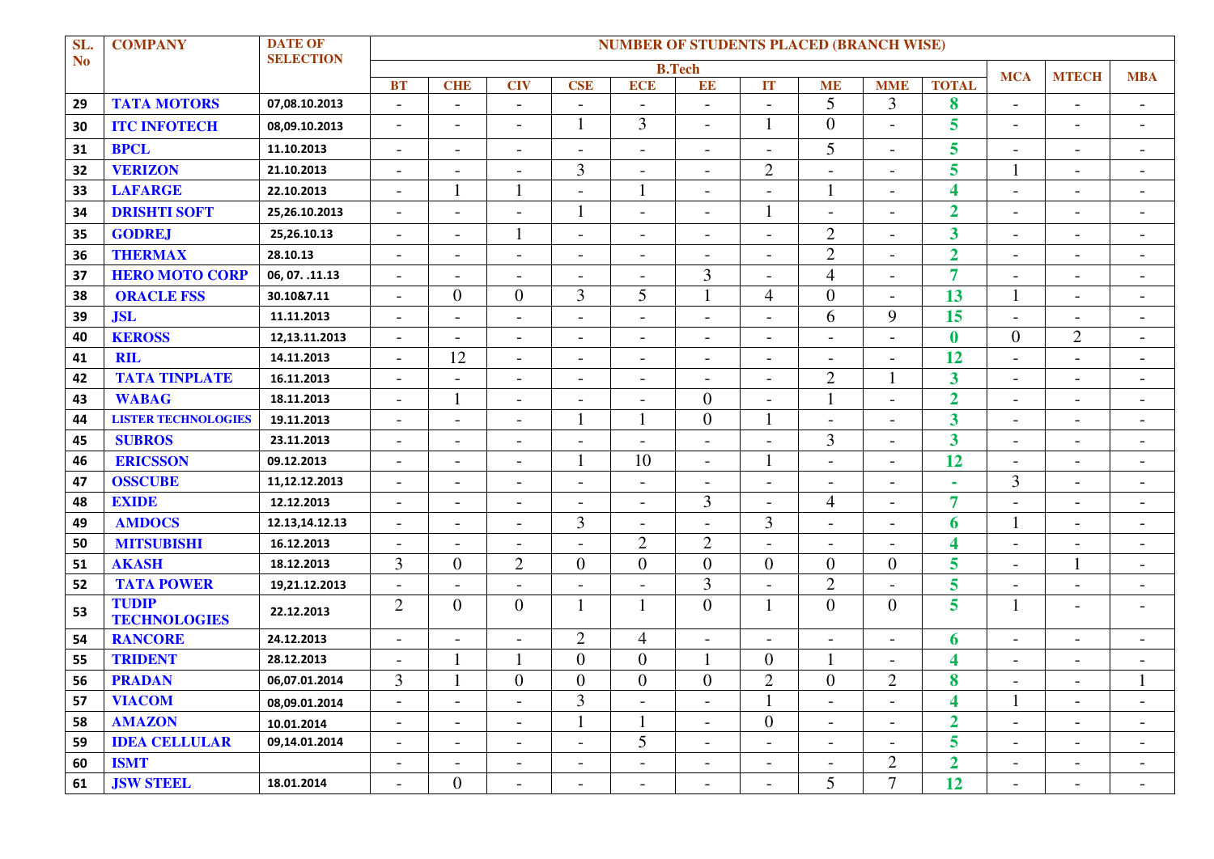| SL.       | <b>COMPANY</b>                      | <b>DATE OF</b>   | <b>NUMBER OF STUDENTS PLACED (BRANCH WISE)</b> |                          |                          |                          |                          |                          |                          |                          |                          |                         |                          |                          |                          |
|-----------|-------------------------------------|------------------|------------------------------------------------|--------------------------|--------------------------|--------------------------|--------------------------|--------------------------|--------------------------|--------------------------|--------------------------|-------------------------|--------------------------|--------------------------|--------------------------|
| <b>No</b> |                                     | <b>SELECTION</b> | <b>B.Tech</b><br><b>MCA</b>                    |                          |                          |                          |                          |                          |                          |                          |                          |                         |                          | <b>MTECH</b>             | <b>MBA</b>               |
|           |                                     |                  | <b>BT</b>                                      | <b>CHE</b>               | <b>CIV</b>               | <b>CSE</b>               | <b>ECE</b>               | EE                       | IT                       | <b>ME</b>                | <b>MME</b>               | <b>TOTAL</b>            |                          |                          |                          |
| 29        | <b>TATA MOTORS</b>                  | 07,08.10.2013    | $\overline{\phantom{a}}$                       | $\overline{\phantom{0}}$ |                          |                          |                          | $\overline{\phantom{a}}$ | $\overline{\phantom{a}}$ | 5                        | 3                        | 8                       | $\overline{\phantom{a}}$ | $\overline{\phantom{a}}$ |                          |
| 30        | <b>ITC INFOTECH</b>                 | 08,09.10.2013    | $\overline{\phantom{a}}$                       | $\overline{\phantom{a}}$ | $\overline{\phantom{a}}$ | 1                        | $\overline{3}$           | $\overline{\phantom{a}}$ | $\mathbf{1}$             | $\overline{0}$           | $\overline{\phantom{a}}$ | 5                       | $\overline{\phantom{a}}$ | $\overline{\phantom{a}}$ | $\overline{\phantom{a}}$ |
| 31        | <b>BPCL</b>                         | 11.10.2013       | $\overline{\phantom{a}}$                       | $\overline{\phantom{0}}$ |                          |                          | $\overline{\phantom{0}}$ | $\overline{\phantom{a}}$ | $\overline{a}$           | 5                        |                          | 5                       | $\overline{\phantom{a}}$ | $\overline{\phantom{a}}$ | $\overline{\phantom{a}}$ |
| 32        | <b>VERIZON</b>                      | 21.10.2013       | $\overline{\phantom{a}}$                       | ÷                        |                          | $\overline{3}$           | $\overline{\phantom{0}}$ | $\overline{\phantom{a}}$ | $\overline{2}$           | $\overline{\phantom{0}}$ |                          | 5                       |                          | $\overline{\phantom{a}}$ |                          |
| 33        | <b>LAFARGE</b>                      | 22.10.2013       | $\overline{\phantom{a}}$                       |                          |                          |                          |                          | $\overline{a}$           | $\overline{a}$           | $\mathbf{1}$             |                          | $\overline{\mathbf{4}}$ | $\overline{a}$           | $\overline{\phantom{a}}$ | $\overline{\phantom{a}}$ |
| 34        | <b>DRISHTI SOFT</b>                 | 25,26.10.2013    | $\overline{\phantom{a}}$                       | $\overline{\phantom{0}}$ | $\overline{\phantom{0}}$ | 1                        | $\overline{\phantom{0}}$ | $\overline{\phantom{a}}$ | $\mathbf{1}$             | $\overline{\phantom{0}}$ |                          | $\overline{2}$          | $\overline{\phantom{a}}$ | $\overline{\phantom{a}}$ | $\overline{\phantom{a}}$ |
| 35        | <b>GODREJ</b>                       | 25,26.10.13      | $\overline{\phantom{a}}$                       | $\overline{\phantom{a}}$ |                          | $\blacksquare$           | $\overline{a}$           | $\overline{a}$           | $\overline{a}$           | $\overline{2}$           |                          | $\overline{\mathbf{3}}$ | $\overline{\phantom{a}}$ | $\overline{\phantom{a}}$ | $\overline{\phantom{a}}$ |
| 36        | <b>THERMAX</b>                      | 28.10.13         | $\overline{\phantom{a}}$                       | $\overline{\phantom{a}}$ | $\overline{\phantom{a}}$ | $\overline{\phantom{a}}$ | $\overline{\phantom{a}}$ | $\overline{\phantom{a}}$ | $\overline{\phantom{a}}$ | $\overline{2}$           | $\overline{\phantom{a}}$ | $\overline{2}$          | $\blacksquare$           | $\blacksquare$           | $\overline{\phantom{a}}$ |
| 37        | <b>HERO MOTO CORP</b>               | 06, 07. .11.13   | $\overline{\phantom{a}}$                       | $\overline{\phantom{a}}$ |                          |                          | $\overline{\phantom{0}}$ | 3                        | $\overline{\phantom{a}}$ | $\overline{4}$           | $\overline{\phantom{a}}$ | $\overline{7}$          | $\overline{\phantom{a}}$ | $\overline{\phantom{a}}$ | $\overline{\phantom{a}}$ |
| 38        | <b>ORACLE FSS</b>                   | 30.10&7.11       | $\overline{\phantom{a}}$                       | $\overline{0}$           | $\overline{0}$           | 3                        | 5                        | 1                        | $\overline{4}$           | $\overline{0}$           |                          | 13                      |                          | $\overline{\phantom{a}}$ |                          |
| 39        | <b>JSL</b>                          | 11.11.2013       | $\overline{\phantom{a}}$                       | $\overline{\phantom{0}}$ | $\overline{a}$           |                          | $\overline{\phantom{0}}$ | $\overline{\phantom{a}}$ | $\overline{a}$           | 6                        | 9                        | 15                      | $\overline{\phantom{a}}$ | $\overline{\phantom{a}}$ | $\overline{\phantom{a}}$ |
| 40        | <b>KEROSS</b>                       | 12,13.11.2013    | $\blacksquare$                                 | $\overline{\phantom{0}}$ | $\blacksquare$           | $\overline{\phantom{a}}$ | $\overline{\phantom{0}}$ | $\overline{\phantom{a}}$ | $\overline{\phantom{a}}$ | $\overline{\phantom{a}}$ | $\overline{\phantom{a}}$ | $\bf{0}$                | $\overline{0}$           | $\mathbf{2}$             | $\overline{\phantom{0}}$ |
| 41        | <b>RIL</b>                          | 14.11.2013       | $\overline{\phantom{a}}$                       | 12                       | $\overline{\phantom{a}}$ |                          | $\overline{\phantom{a}}$ | $\overline{\phantom{a}}$ | $\overline{\phantom{a}}$ | $\overline{\phantom{a}}$ |                          | 12                      | $\overline{\phantom{a}}$ | $\overline{\phantom{a}}$ |                          |
| 42        | <b>TATA TINPLATE</b>                | 16.11.2013       | $\overline{\phantom{a}}$                       |                          |                          |                          | $\overline{\phantom{a}}$ | $\overline{\phantom{0}}$ | $\overline{a}$           | $\overline{2}$           | 1                        | $\overline{\mathbf{3}}$ | $\overline{\phantom{a}}$ | $\overline{\phantom{a}}$ |                          |
| 43        | <b>WABAG</b>                        | 18.11.2013       | $\blacksquare$                                 |                          | $\overline{a}$           |                          | $\overline{\phantom{0}}$ | $\overline{0}$           | $\overline{a}$           |                          |                          | $\overline{2}$          | $\overline{\phantom{a}}$ | $\overline{\phantom{a}}$ | $\overline{\phantom{a}}$ |
| 44        | <b>LISTER TECHNOLOGIES</b>          | 19.11.2013       | $\overline{\phantom{a}}$                       | $\overline{a}$           | $\overline{\phantom{a}}$ |                          |                          | $\overline{0}$           |                          | $\overline{\phantom{a}}$ | $\overline{\phantom{a}}$ | $\overline{\mathbf{3}}$ | $\overline{\phantom{a}}$ | $\overline{\phantom{a}}$ | $\overline{\phantom{a}}$ |
| 45        | <b>SUBROS</b>                       | 23.11.2013       | $\blacksquare$                                 | $\overline{\phantom{a}}$ | $\overline{\phantom{a}}$ |                          |                          | $\overline{a}$           | $\overline{a}$           | $\overline{3}$           |                          | $\overline{\mathbf{3}}$ | $\overline{\phantom{a}}$ | $\overline{\phantom{a}}$ | $\overline{\phantom{a}}$ |
| 46        | <b>ERICSSON</b>                     | 09.12.2013       | $\overline{\phantom{a}}$                       | $\overline{a}$           |                          |                          | 10                       |                          |                          |                          |                          | 12                      | $\overline{\phantom{a}}$ | $\overline{\phantom{a}}$ |                          |
| 47        | <b>OSSCUBE</b>                      | 11,12.12.2013    | $\overline{\phantom{a}}$                       | $\overline{\phantom{a}}$ |                          |                          | $\overline{\phantom{0}}$ | $\overline{\phantom{a}}$ | $\overline{\phantom{0}}$ | $\overline{\phantom{a}}$ |                          | $\bar{a}$               | 3                        | $\overline{\phantom{a}}$ |                          |
| 48        | <b>EXIDE</b>                        | 12.12.2013       | $\blacksquare$                                 | $\blacksquare$           | $\blacksquare$           |                          | $\overline{a}$           | $\overline{3}$           | $\overline{a}$           | $\overline{4}$           | $\overline{\phantom{a}}$ | $\overline{7}$          | $\overline{\phantom{a}}$ | $\overline{\phantom{a}}$ | $\overline{\phantom{a}}$ |
| 49        | <b>AMDOCS</b>                       | 12.13,14.12.13   | $\blacksquare$                                 | $\overline{\phantom{a}}$ | $\overline{\phantom{a}}$ | 3                        | $\overline{\phantom{a}}$ |                          | $\overline{3}$           | $\overline{\phantom{a}}$ | $\overline{\phantom{a}}$ | 6                       |                          | $\blacksquare$           | $\overline{\phantom{a}}$ |
| 50        | <b>MITSUBISHI</b>                   | 16.12.2013       | $\overline{\phantom{a}}$                       | $\overline{\phantom{a}}$ |                          |                          | $\overline{2}$           | $\overline{2}$           | $\overline{a}$           | $\overline{\phantom{a}}$ |                          | 4                       | $\overline{\phantom{a}}$ | $\overline{\phantom{a}}$ |                          |
| 51        | <b>AKASH</b>                        | 18.12.2013       | 3                                              | $\boldsymbol{0}$         | $\overline{2}$           | $\overline{0}$           | $\overline{0}$           | $\overline{0}$           | $\overline{0}$           | $\overline{0}$           | $\overline{0}$           | 5                       | $\overline{\phantom{a}}$ | 1                        |                          |
| 52        | <b>TATA POWER</b>                   | 19,21.12.2013    | $\blacksquare$                                 | $\overline{a}$           |                          |                          | $\overline{\phantom{0}}$ | 3                        | $\overline{a}$           | $\overline{2}$           |                          | 5                       | $\overline{\phantom{a}}$ | $\overline{\phantom{a}}$ | $\overline{\phantom{a}}$ |
| 53        | <b>TUDIP</b><br><b>TECHNOLOGIES</b> | 22.12.2013       | $\mathfrak{2}$                                 | $\mathbf{0}$             | $\overline{0}$           |                          |                          | $\overline{0}$           | $\mathbf{1}$             | $\overline{0}$           | $\overline{0}$           | 5                       |                          | $\overline{\phantom{a}}$ |                          |
| 54        | <b>RANCORE</b>                      | 24.12.2013       | $\blacksquare$                                 | $\overline{\phantom{a}}$ | $\blacksquare$           | $\overline{2}$           | $\overline{4}$           | $\overline{\phantom{a}}$ | $\overline{\phantom{a}}$ | $\overline{\phantom{a}}$ |                          | 6                       | $\overline{\phantom{a}}$ | $\overline{\phantom{a}}$ | $\overline{\phantom{a}}$ |
| 55        | <b>TRIDENT</b>                      | 28.12.2013       | $\overline{\phantom{a}}$                       |                          |                          | $\overline{0}$           | $\overline{0}$           | 1                        | $\overline{0}$           |                          |                          | 4                       | $\blacksquare$           | $\qquad \qquad$          |                          |
| 56        | <b>PRADAN</b>                       | 06,07.01.2014    | 3                                              | л.                       | $\Omega$<br>$\mathbf v$  | $\boldsymbol{0}$         | $\mathbf{0}$             | $\boldsymbol{0}$         | $\mathbf{2}$             | $\boldsymbol{0}$         | $\bigcirc$<br>∼          | 8                       |                          |                          | $\mathbf{r}$             |
| 57        | <b>VIACOM</b>                       | 08,09.01.2014    | $\overline{\phantom{a}}$                       | $\overline{\phantom{a}}$ | $\overline{\phantom{a}}$ | $\overline{3}$           | $\overline{\phantom{0}}$ | $\mathbf{r}$             |                          | $\overline{\phantom{a}}$ | $\overline{\phantom{a}}$ | $\overline{\mathbf{4}}$ |                          | $\overline{\phantom{a}}$ | $\overline{\phantom{0}}$ |
| 58        | <b>AMAZON</b>                       | 10.01.2014       | $\overline{\phantom{a}}$                       | $\blacksquare$           | $\overline{\phantom{a}}$ |                          |                          | $\overline{\phantom{a}}$ | $\mathbf{0}$             | $\blacksquare$           | $\overline{\phantom{a}}$ | $\overline{2}$          | $\blacksquare$           | $\overline{\phantom{a}}$ | $\overline{\phantom{a}}$ |
| 59        | <b>IDEA CELLULAR</b>                | 09,14.01.2014    | $\blacksquare$                                 | $\blacksquare$           | $\overline{\phantom{a}}$ |                          | 5                        | $\overline{\phantom{a}}$ | $\overline{\phantom{a}}$ | $\overline{\phantom{a}}$ |                          | 5                       | $\overline{\phantom{a}}$ | $\overline{\phantom{a}}$ | $\overline{\phantom{a}}$ |
| 60        | <b>ISMT</b>                         |                  | $\blacksquare$                                 | $\overline{\phantom{a}}$ | $\overline{\phantom{a}}$ |                          | $\overline{\phantom{a}}$ | $\overline{\phantom{a}}$ | $\overline{\phantom{a}}$ | $\overline{\phantom{a}}$ | $\overline{2}$           | $\overline{\mathbf{2}}$ | $\overline{\phantom{a}}$ | $\overline{\phantom{a}}$ | $\overline{\phantom{a}}$ |
| 61        | <b>JSW STEEL</b>                    | 18.01.2014       | $\overline{\phantom{a}}$                       | $\overline{0}$           | $\sim$                   | $\overline{\phantom{a}}$ | $\overline{\phantom{a}}$ | $\overline{\phantom{a}}$ | $\overline{\phantom{a}}$ | 5 <sup>5</sup>           | $7\overline{ }$          | 12                      | $\overline{\phantom{a}}$ | $\overline{\phantom{a}}$ | $\sim$                   |